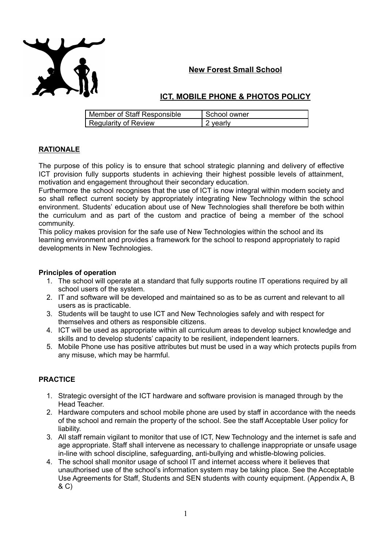

## **New Forest Small School**

## **ICT, MOBILE PHONE & PHOTOS POLICY**

| Member of Staff Responsible | School owner |
|-----------------------------|--------------|
| Regularity of Review        | 2 yearly     |

### **RATIONALE**

The purpose of this policy is to ensure that school strategic planning and delivery of effective ICT provision fully supports students in achieving their highest possible levels of attainment, motivation and engagement throughout their secondary education.

Furthermore the school recognises that the use of ICT is now integral within modern society and so shall reflect current society by appropriately integrating New Technology within the school environment. Students' education about use of New Technologies shall therefore be both within the curriculum and as part of the custom and practice of being a member of the school community.

This policy makes provision for the safe use of New Technologies within the school and its learning environment and provides a framework for the school to respond appropriately to rapid developments in New Technologies.

### **Principles of operation**

- 1. The school will operate at a standard that fully supports routine IT operations required by all school users of the system.
- 2. IT and software will be developed and maintained so as to be as current and relevant to all users as is practicable.
- 3. Students will be taught to use ICT and New Technologies safely and with respect for themselves and others as responsible citizens.
- 4. ICT will be used as appropriate within all curriculum areas to develop subject knowledge and skills and to develop students' capacity to be resilient, independent learners.
- 5. Mobile Phone use has positive attributes but must be used in a way which protects pupils from any misuse, which may be harmful.

## **PRACTICE**

- 1. Strategic oversight of the ICT hardware and software provision is managed through by the Head Teacher.
- 2. Hardware computers and school mobile phone are used by staff in accordance with the needs of the school and remain the property of the school. See the staff Acceptable User policy for liability.
- 3. All staff remain vigilant to monitor that use of ICT, New Technology and the internet is safe and age appropriate. Staff shall intervene as necessary to challenge inappropriate or unsafe usage in-line with school discipline, safeguarding, anti-bullying and whistle-blowing policies.
- 4. The school shall monitor usage of school IT and internet access where it believes that unauthorised use of the school's information system may be taking place. See the Acceptable Use Agreements for Staff, Students and SEN students with county equipment. (Appendix A, B & C)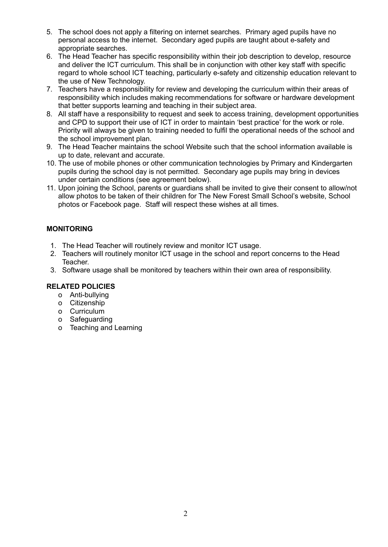- 5. The school does not apply a filtering on internet searches. Primary aged pupils have no personal access to the internet. Secondary aged pupils are taught about e-safety and appropriate searches.
- 6. The Head Teacher has specific responsibility within their job description to develop, resource and deliver the ICT curriculum. This shall be in conjunction with other key staff with specific regard to whole school ICT teaching, particularly e-safety and citizenship education relevant to the use of New Technology.
- 7. Teachers have a responsibility for review and developing the curriculum within their areas of responsibility which includes making recommendations for software or hardware development that better supports learning and teaching in their subject area.
- 8. All staff have a responsibility to request and seek to access training, development opportunities and CPD to support their use of ICT in order to maintain 'best practice' for the work or role. Priority will always be given to training needed to fulfil the operational needs of the school and the school improvement plan.
- 9. The Head Teacher maintains the school Website such that the school information available is up to date, relevant and accurate.
- 10. The use of mobile phones or other communication technologies by Primary and Kindergarten pupils during the school day is not permitted. Secondary age pupils may bring in devices under certain conditions (see agreement below).
- 11. Upon joining the School, parents or guardians shall be invited to give their consent to allow/not allow photos to be taken of their children for The New Forest Small School's website, School photos or Facebook page. Staff will respect these wishes at all times.

## **MONITORING**

- 1. The Head Teacher will routinely review and monitor ICT usage.
- 2. Teachers will routinely monitor ICT usage in the school and report concerns to the Head Teacher.
- 3. Software usage shall be monitored by teachers within their own area of responsibility.

## **RELATED POLICIES**

- o Anti-bullying
- o Citizenship
- o Curriculum
- o Safeguarding
- o Teaching and Learning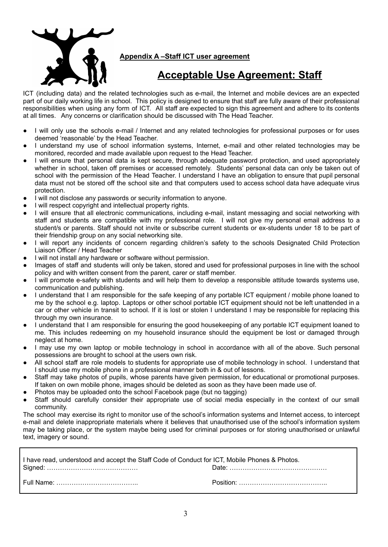

**Appendix A –Staff ICT user agreement**

# **Acceptable Use Agreement: Staff**

ICT (including data) and the related technologies such as e-mail, the Internet and mobile devices are an expected part of our daily working life in school. This policy is designed to ensure that staff are fully aware of their professional responsibilities when using any form of ICT. All staff are expected to sign this agreement and adhere to its contents at all times. Any concerns or clarification should be discussed with The Head Teacher.

- I will only use the schools e-mail / Internet and any related technologies for professional purposes or for uses deemed 'reasonable' by the Head Teacher.
- I understand my use of school information systems, Internet, e-mail and other related technologies may be monitored, recorded and made available upon request to the Head Teacher.
- I will ensure that personal data is kept secure, through adequate password protection, and used appropriately whether in school, taken off premises or accessed remotely. Students' personal data can only be taken out of school with the permission of the Head Teacher. I understand I have an obligation to ensure that pupil personal data must not be stored off the school site and that computers used to access school data have adequate virus protection.
- I will not disclose any passwords or security information to anyone.
- I will respect copyright and intellectual property rights.
- I will ensure that all electronic communications, including e-mail, instant messaging and social networking with staff and students are compatible with my professional role. I will not give my personal email address to a student/s or parents. Staff should not invite or subscribe current students or ex-students under 18 to be part of their friendship group on any social networking site.
- I will report any incidents of concern regarding children's safety to the schools Designated Child Protection Liaison Officer / Head Teacher
- I will not install any hardware or software without permission.
- Images of staff and students will only be taken, stored and used for professional purposes in line with the school policy and with written consent from the parent, carer or staff member.
- I will promote e-safety with students and will help them to develop a responsible attitude towards systems use, communication and publishing.
- I understand that I am responsible for the safe keeping of any portable ICT equipment / mobile phone loaned to me by the school e.g. laptop. Laptops or other school portable ICT equipment should not be left unattended in a car or other vehicle in transit to school. If it is lost or stolen I understand I may be responsible for replacing this through my own insurance.
- I understand that I am responsible for ensuring the good housekeeping of any portable ICT equipment loaned to me. This includes redeeming on my household insurance should the equipment be lost or damaged through neglect at home.
- I may use my own laptop or mobile technology in school in accordance with all of the above. Such personal possessions are brought to school at the users own risk.
- All school staff are role models to students for appropriate use of mobile technology in school. I understand that I should use my mobile phone in a professional manner both in & out of lessons.
- Staff may take photos of pupils, whose parents have given permission, for educational or promotional purposes. If taken on own mobile phone, images should be deleted as soon as they have been made use of.
- Photos may be uploaded onto the school Facebook page (but no tagging)
- Staff should carefully consider their appropriate use of social media especially in the context of our small community.

The school may exercise its right to monitor use of the school's information systems and Internet access, to intercept e-mail and delete inappropriate materials where it believes that unauthorised use of the school's information system may be taking place, or the system maybe being used for criminal purposes or for storing unauthorised or unlawful text, imagery or sound.

| I have read, understood and accept the Staff Code of Conduct for ICT, Mobile Phones & Photos. |  |
|-----------------------------------------------------------------------------------------------|--|
|                                                                                               |  |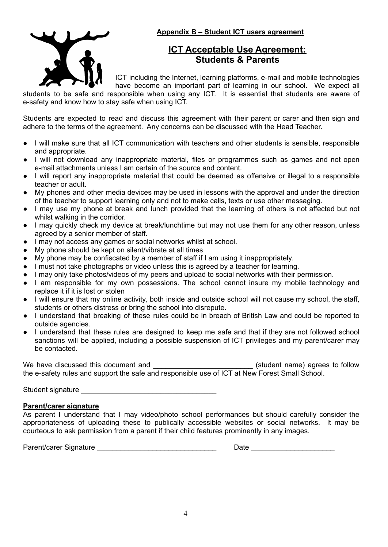

## **Appendix B – Student ICT users agreement**

# **ICT Acceptable Use Agreement: Students & Parents**

ICT including the Internet, learning platforms, e-mail and mobile technologies have become an important part of learning in our school. We expect all

students to be safe and responsible when using any ICT. It is essential that students are aware of e-safety and know how to stay safe when using ICT.

Students are expected to read and discuss this agreement with their parent or carer and then sign and adhere to the terms of the agreement. Any concerns can be discussed with the Head Teacher.

- I will make sure that all ICT communication with teachers and other students is sensible, responsible and appropriate.
- I will not download any inappropriate material, files or programmes such as games and not open e-mail attachments unless I am certain of the source and content.
- I will report any inappropriate material that could be deemed as offensive or illegal to a responsible teacher or adult.
- My phones and other media devices may be used in lessons with the approval and under the direction of the teacher to support learning only and not to make calls, texts or use other messaging.
- I may use my phone at break and lunch provided that the learning of others is not affected but not whilst walking in the corridor.
- I may quickly check my device at break/lunchtime but may not use them for any other reason, unless agreed by a senior member of staff.
- I may not access any games or social networks whilst at school.
- My phone should be kept on silent/vibrate at all times
- My phone may be confiscated by a member of staff if I am using it inappropriately.
- I must not take photographs or video unless this is agreed by a teacher for learning.
- I may only take photos/videos of my peers and upload to social networks with their permission.
- I am responsible for my own possessions. The school cannot insure my mobile technology and replace it if it is lost or stolen
- I will ensure that my online activity, both inside and outside school will not cause my school, the staff, students or others distress or bring the school into disrepute.
- I understand that breaking of these rules could be in breach of British Law and could be reported to outside agencies.
- I understand that these rules are designed to keep me safe and that if they are not followed school sanctions will be applied, including a possible suspension of ICT privileges and my parent/carer may be contacted.

We have discussed this document and \_\_\_\_\_\_\_\_\_\_\_\_\_\_\_\_\_\_\_\_\_\_\_\_\_\_\_(student name) agrees to follow the e-safety rules and support the safe and responsible use of ICT at New Forest Small School.

Student signature \_\_\_\_\_\_\_\_\_\_\_\_\_\_\_\_\_\_\_\_\_\_\_\_\_\_\_\_\_\_\_\_\_\_

### **Parent/carer signature**

As parent I understand that I may video/photo school performances but should carefully consider the appropriateness of uploading these to publically accessible websites or social networks. It may be courteous to ask permission from a parent if their child features prominently in any images.

Parent/carer Signature \_\_\_\_\_\_\_\_\_\_\_\_\_\_\_\_\_\_\_\_\_\_\_\_\_\_\_\_\_\_ Date \_\_\_\_\_\_\_\_\_\_\_\_\_\_\_\_\_\_\_\_\_